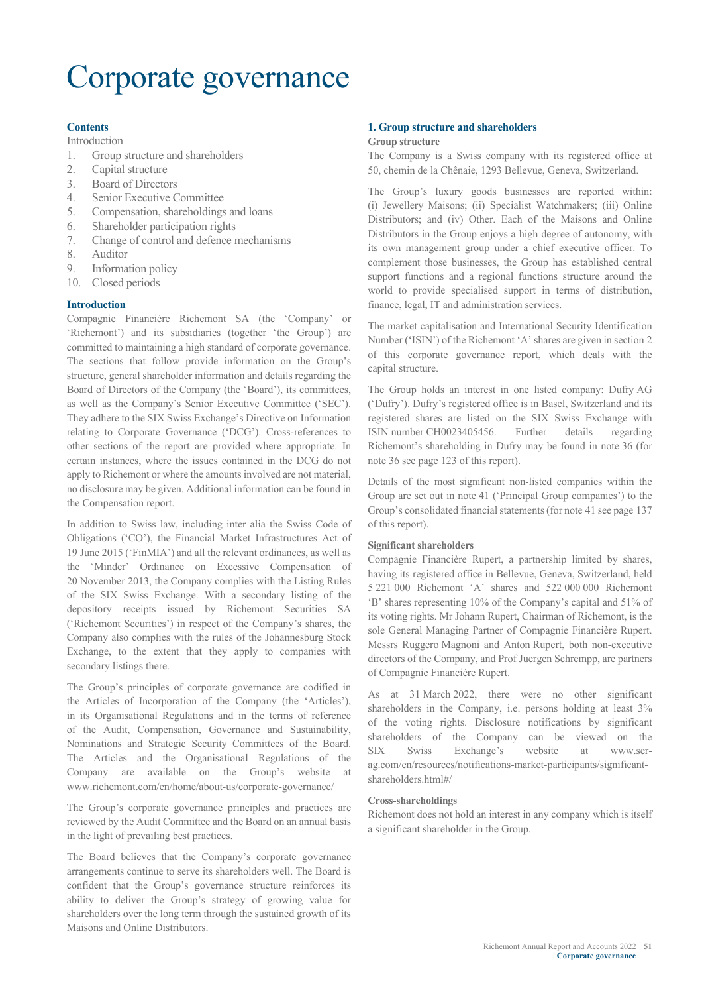# Corporate governance

#### **Contents**

Introduction

- 1. Group structure and shareholders
- 2. Capital structure
- 3. Board of Directors
- 4. Senior Executive Committee
- 5. Compensation, shareholdings and loans
- 6. Shareholder participation rights
- 7. Change of control and defence mechanisms
- 8. Auditor
- 9. Information policy
- 10. Closed periods

#### **Introduction**

Compagnie Financière Richemont SA (the 'Company' or 'Richemont') and its subsidiaries (together 'the Group') are committed to maintaining a high standard of corporate governance. The sections that follow provide information on the Group's structure, general shareholder information and details regarding the Board of Directors of the Company (the 'Board'), its committees, as well as the Company's Senior Executive Committee ('SEC'). They adhere to the SIX Swiss Exchange's Directive on Information relating to Corporate Governance ('DCG'). Cross-references to other sections of the report are provided where appropriate. In certain instances, where the issues contained in the DCG do not apply to Richemont or where the amounts involved are not material, no disclosure may be given. Additional information can be found in the Compensation report.

In addition to Swiss law, including inter alia the Swiss Code of Obligations ('CO'), the Financial Market Infrastructures Act of 19 June 2015 ('FinMIA') and all the relevant ordinances, as well as the 'Minder' Ordinance on Excessive Compensation of 20 November 2013, the Company complies with the Listing Rules of the SIX Swiss Exchange. With a secondary listing of the depository receipts issued by Richemont Securities SA ('Richemont Securities') in respect of the Company's shares, the Company also complies with the rules of the Johannesburg Stock Exchange, to the extent that they apply to companies with secondary listings there.

The Group's principles of corporate governance are codified in the Articles of Incorporation of the Company (the 'Articles'), in its Organisational Regulations and in the terms of reference of the Audit, Compensation, Governance and Sustainability, Nominations and Strategic Security Committees of the Board. The Articles and the Organisational Regulations of the Company are available on the Group's website at www.richemont.com/en/home/about-us/corporate-governance/

The Group's corporate governance principles and practices are reviewed by the Audit Committee and the Board on an annual basis in the light of prevailing best practices.

The Board believes that the Company's corporate governance arrangements continue to serve its shareholders well. The Board is confident that the Group's governance structure reinforces its ability to deliver the Group's strategy of growing value for shareholders over the long term through the sustained growth of its Maisons and Online Distributors.

#### **1. Group structure and shareholders**

#### **Group structure**

The Company is a Swiss company with its registered office at 50, chemin de la Chênaie, 1293 Bellevue, Geneva, Switzerland.

The Group's luxury goods businesses are reported within: (i) Jewellery Maisons; (ii) Specialist Watchmakers; (iii) Online Distributors; and (iv) Other. Each of the Maisons and Online Distributors in the Group enjoys a high degree of autonomy, with its own management group under a chief executive officer. To complement those businesses, the Group has established central support functions and a regional functions structure around the world to provide specialised support in terms of distribution, finance, legal, IT and administration services.

The market capitalisation and International Security Identification Number ('ISIN') of the Richemont 'A' shares are given in section 2 of this corporate governance report, which deals with the capital structure.

The Group holds an interest in one listed company: Dufry AG ('Dufry'). Dufry's registered office is in Basel, Switzerland and its registered shares are listed on the SIX Swiss Exchange with ISIN number CH0023405456. Further details regarding Richemont's shareholding in Dufry may be found in note 36 (for note 36 see page 123 of this report).

Details of the most significant non-listed companies within the Group are set out in note 41 ('Principal Group companies') to the Group's consolidated financial statements (for note 41 see page 137 of this report).

#### **Significant shareholders**

Compagnie Financière Rupert, a partnership limited by shares, having its registered office in Bellevue, Geneva, Switzerland, held 5 221 000 Richemont 'A' shares and 522 000 000 Richemont 'B' shares representing 10% of the Company's capital and 51% of its voting rights. Mr Johann Rupert, Chairman of Richemont, is the sole General Managing Partner of Compagnie Financière Rupert. Messrs Ruggero Magnoni and Anton Rupert, both non-executive directors of the Company, and Prof Juergen Schrempp, are partners of Compagnie Financière Rupert.

As at 31 March 2022, there were no other significant shareholders in the Company, i.e. persons holding at least 3% of the voting rights. Disclosure notifications by significant shareholders of the Company can be viewed on the SIX Swiss Exchange's website at www.serag.com/en/resources/notifications-market-participants/significantshareholders.html#/

#### **Cross-shareholdings**

Richemont does not hold an interest in any company which is itself a significant shareholder in the Group.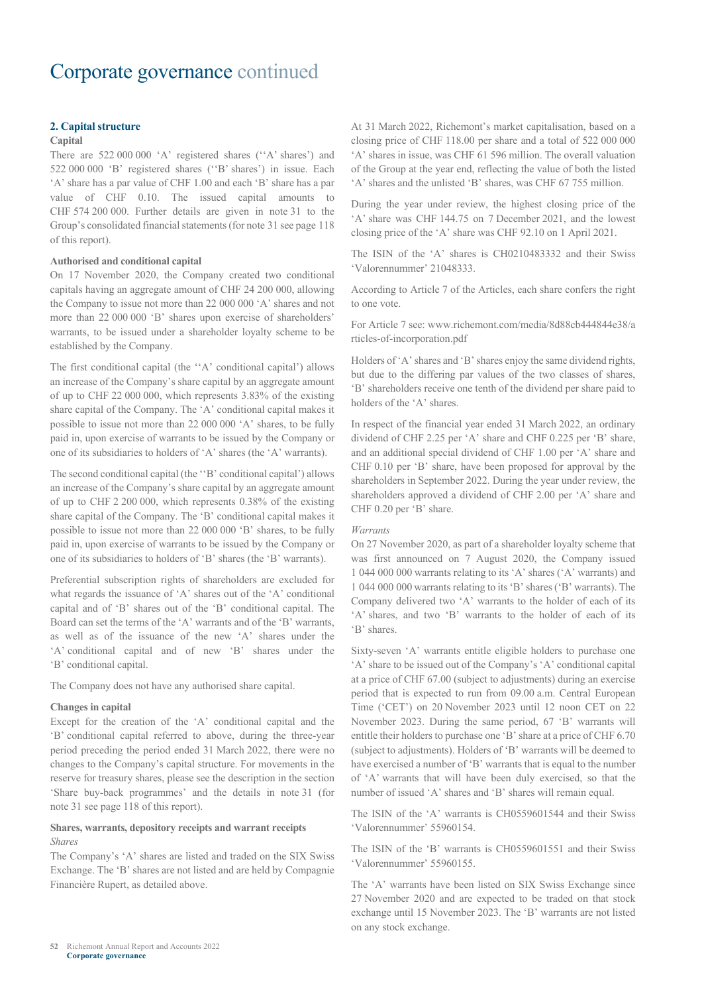#### **2. Capital structure**

#### **Capital**

There are 522 000 000 'A' registered shares (''A' shares') and 522 000 000 'B' registered shares (''B' shares') in issue. Each 'A' share has a par value of CHF 1.00 and each 'B' share has a par value of CHF 0.10. The issued capital amounts to CHF 574 200 000. Further details are given in note 31 to the Group's consolidated financial statements (for note 31 see page 118 of this report).

#### **Authorised and conditional capital**

On 17 November 2020, the Company created two conditional capitals having an aggregate amount of CHF 24 200 000, allowing the Company to issue not more than 22 000 000 'A' shares and not more than 22 000 000 'B' shares upon exercise of shareholders' warrants, to be issued under a shareholder loyalty scheme to be established by the Company.

The first conditional capital (the ''A' conditional capital') allows an increase of the Company's share capital by an aggregate amount of up to CHF 22 000 000, which represents 3.83% of the existing share capital of the Company. The 'A' conditional capital makes it possible to issue not more than 22 000 000 'A' shares, to be fully paid in, upon exercise of warrants to be issued by the Company or one of its subsidiaries to holders of 'A' shares (the 'A' warrants).

The second conditional capital (the ''B' conditional capital') allows an increase of the Company's share capital by an aggregate amount of up to CHF 2 200 000, which represents 0.38% of the existing share capital of the Company. The 'B' conditional capital makes it possible to issue not more than 22 000 000 'B' shares, to be fully paid in, upon exercise of warrants to be issued by the Company or one of its subsidiaries to holders of 'B' shares (the 'B' warrants).

Preferential subscription rights of shareholders are excluded for what regards the issuance of 'A' shares out of the 'A' conditional capital and of 'B' shares out of the 'B' conditional capital. The Board can set the terms of the 'A' warrants and of the 'B' warrants, as well as of the issuance of the new 'A' shares under the 'A' conditional capital and of new 'B' shares under the 'B' conditional capital.

The Company does not have any authorised share capital.

#### **Changes in capital**

Except for the creation of the 'A' conditional capital and the 'B' conditional capital referred to above, during the three-year period preceding the period ended 31 March 2022, there were no changes to the Company's capital structure. For movements in the reserve for treasury shares, please see the description in the section 'Share buy-back programmes' and the details in note 31 (for note 31 see page 118 of this report).

#### **Shares, warrants, depository receipts and warrant receipts** *Shares*

The Company's 'A' shares are listed and traded on the SIX Swiss Exchange. The 'B' shares are not listed and are held by Compagnie Financière Rupert, as detailed above.

At 31 March 2022, Richemont's market capitalisation, based on a closing price of CHF 118.00 per share and a total of 522 000 000 'A' shares in issue, was CHF 61 596 million. The overall valuation of the Group at the year end, reflecting the value of both the listed 'A' shares and the unlisted 'B' shares, was CHF 67 755 million.

During the year under review, the highest closing price of the 'A' share was CHF 144.75 on 7 December 2021, and the lowest closing price of the 'A' share was CHF 92.10 on 1 April 2021.

The ISIN of the 'A' shares is CH0210483332 and their Swiss 'Valorennummer' 21048333.

According to Article 7 of the Articles, each share confers the right to one vote.

For Article 7 see: www.richemont.com/media/8d88cb444844e38/a rticles-of-incorporation.pdf

Holders of 'A' shares and 'B' shares enjoy the same dividend rights, but due to the differing par values of the two classes of shares, 'B' shareholders receive one tenth of the dividend per share paid to holders of the 'A' shares.

In respect of the financial year ended 31 March 2022, an ordinary dividend of CHF 2.25 per 'A' share and CHF 0.225 per 'B' share, and an additional special dividend of CHF 1.00 per 'A' share and CHF 0.10 per 'B' share, have been proposed for approval by the shareholders in September 2022. During the year under review, the shareholders approved a dividend of CHF 2.00 per 'A' share and CHF 0.20 per 'B' share.

#### *Warrants*

On 27 November 2020, as part of a shareholder loyalty scheme that was first announced on 7 August 2020, the Company issued 1 044 000 000 warrants relating to its 'A' shares ('A' warrants) and 1 044 000 000 warrants relating to its 'B' shares ('B' warrants). The Company delivered two 'A' warrants to the holder of each of its 'A' shares, and two 'B' warrants to the holder of each of its 'B' shares.

Sixty-seven 'A' warrants entitle eligible holders to purchase one 'A' share to be issued out of the Company's 'A' conditional capital at a price of CHF 67.00 (subject to adjustments) during an exercise period that is expected to run from 09.00 a.m. Central European Time ('CET') on 20 November 2023 until 12 noon CET on 22 November 2023. During the same period, 67 'B' warrants will entitle their holders to purchase one 'B' share at a price of CHF 6.70 (subject to adjustments). Holders of 'B' warrants will be deemed to have exercised a number of 'B' warrants that is equal to the number of 'A' warrants that will have been duly exercised, so that the number of issued 'A' shares and 'B' shares will remain equal.

The ISIN of the 'A' warrants is CH0559601544 and their Swiss 'Valorennummer' 55960154.

The ISIN of the 'B' warrants is CH0559601551 and their Swiss 'Valorennummer' 55960155.

The 'A' warrants have been listed on SIX Swiss Exchange since 27 November 2020 and are expected to be traded on that stock exchange until 15 November 2023. The 'B' warrants are not listed on any stock exchange.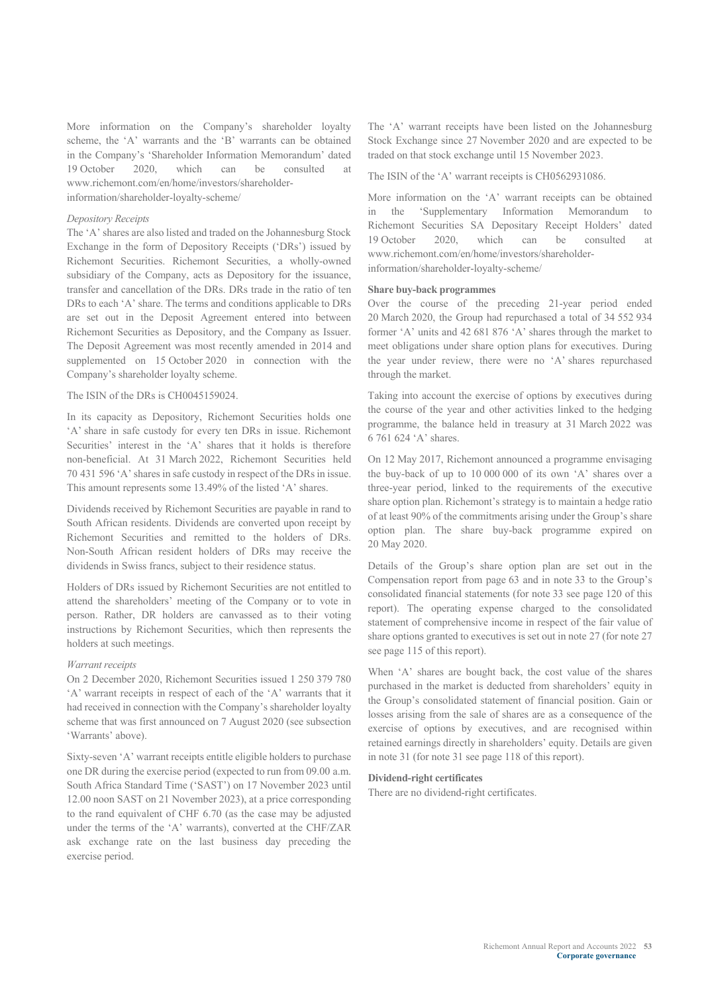More information on the Company's shareholder loyalty scheme, the 'A' warrants and the 'B' warrants can be obtained in the Company's 'Shareholder Information Memorandum' dated 19 October 2020, which can be consulted at www.richemont.com/en/home/investors/shareholderinformation/shareholder-loyalty-scheme/

#### *Depository Receipts*

The 'A' shares are also listed and traded on the Johannesburg Stock Exchange in the form of Depository Receipts ('DRs') issued by Richemont Securities. Richemont Securities, a wholly-owned subsidiary of the Company, acts as Depository for the issuance, transfer and cancellation of the DRs. DRs trade in the ratio of ten DRs to each 'A' share. The terms and conditions applicable to DRs are set out in the Deposit Agreement entered into between Richemont Securities as Depository, and the Company as Issuer. The Deposit Agreement was most recently amended in 2014 and supplemented on 15 October 2020 in connection with the Company's shareholder loyalty scheme.

#### The ISIN of the DRs is CH0045159024.

In its capacity as Depository, Richemont Securities holds one 'A' share in safe custody for every ten DRs in issue. Richemont Securities' interest in the 'A' shares that it holds is therefore non-beneficial. At 31 March 2022, Richemont Securities held 70 431 596 'A' shares in safe custody in respect of the DRs in issue. This amount represents some 13.49% of the listed 'A' shares.

Dividends received by Richemont Securities are payable in rand to South African residents. Dividends are converted upon receipt by Richemont Securities and remitted to the holders of DRs. Non-South African resident holders of DRs may receive the dividends in Swiss francs, subject to their residence status.

Holders of DRs issued by Richemont Securities are not entitled to attend the shareholders' meeting of the Company or to vote in person. Rather, DR holders are canvassed as to their voting instructions by Richemont Securities, which then represents the holders at such meetings.

#### *Warrant receipts*

On 2 December 2020, Richemont Securities issued 1 250 379 780 'A' warrant receipts in respect of each of the 'A' warrants that it had received in connection with the Company's shareholder loyalty scheme that was first announced on 7 August 2020 (see subsection 'Warrants' above).

Sixty-seven 'A' warrant receipts entitle eligible holders to purchase one DR during the exercise period (expected to run from 09.00 a.m. South Africa Standard Time ('SAST') on 17 November 2023 until 12.00 noon SAST on 21 November 2023), at a price corresponding to the rand equivalent of CHF 6.70 (as the case may be adjusted under the terms of the 'A' warrants), converted at the CHF/ZAR ask exchange rate on the last business day preceding the exercise period.

The 'A' warrant receipts have been listed on the Johannesburg Stock Exchange since 27 November 2020 and are expected to be traded on that stock exchange until 15 November 2023.

The ISIN of the 'A' warrant receipts is CH0562931086.

More information on the 'A' warrant receipts can be obtained in the 'Supplementary Information Memorandum to Richemont Securities SA Depositary Receipt Holders' dated 19 October 2020, which can be consulted at www.richemont.com/en/home/investors/shareholderinformation/shareholder-loyalty-scheme/

#### **Share buy-back programmes**

Over the course of the preceding 21-year period ended 20 March 2020, the Group had repurchased a total of 34 552 934 former 'A' units and 42 681 876 'A' shares through the market to meet obligations under share option plans for executives. During the year under review, there were no 'A' shares repurchased through the market.

Taking into account the exercise of options by executives during the course of the year and other activities linked to the hedging programme, the balance held in treasury at 31 March 2022 was 6 761 624 'A' shares.

On 12 May 2017, Richemont announced a programme envisaging the buy-back of up to 10 000 000 of its own 'A' shares over a three-year period, linked to the requirements of the executive share option plan. Richemont's strategy is to maintain a hedge ratio of at least 90% of the commitments arising under the Group's share option plan. The share buy-back programme expired on 20 May 2020.

Details of the Group's share option plan are set out in the Compensation report from page 63 and in note 33 to the Group's consolidated financial statements (for note 33 see page 120 of this report). The operating expense charged to the consolidated statement of comprehensive income in respect of the fair value of share options granted to executives is set out in note 27 (for note 27 see page 115 of this report).

When 'A' shares are bought back, the cost value of the shares purchased in the market is deducted from shareholders' equity in the Group's consolidated statement of financial position. Gain or losses arising from the sale of shares are as a consequence of the exercise of options by executives, and are recognised within retained earnings directly in shareholders' equity. Details are given in note 31 (for note 31 see page 118 of this report).

#### **Dividend-right certificates**

There are no dividend-right certificates.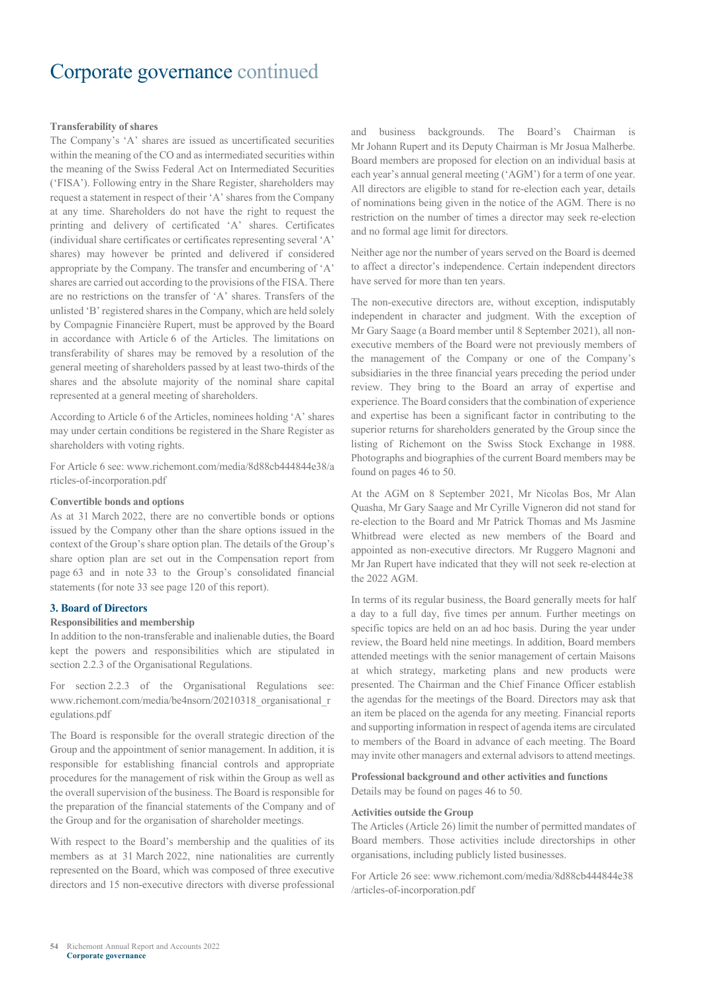#### **Transferability of shares**

The Company's 'A' shares are issued as uncertificated securities within the meaning of the CO and as intermediated securities within the meaning of the Swiss Federal Act on Intermediated Securities ('FISA'). Following entry in the Share Register, shareholders may request a statement in respect of their 'A' shares from the Company at any time. Shareholders do not have the right to request the printing and delivery of certificated 'A' shares. Certificates (individual share certificates or certificates representing several 'A' shares) may however be printed and delivered if considered appropriate by the Company. The transfer and encumbering of 'A' shares are carried out according to the provisions of the FISA. There are no restrictions on the transfer of 'A' shares. Transfers of the unlisted 'B' registered shares in the Company, which are held solely by Compagnie Financière Rupert, must be approved by the Board in accordance with Article 6 of the Articles. The limitations on transferability of shares may be removed by a resolution of the general meeting of shareholders passed by at least two-thirds of the shares and the absolute majority of the nominal share capital represented at a general meeting of shareholders.

According to Article 6 of the Articles, nominees holding 'A' shares may under certain conditions be registered in the Share Register as shareholders with voting rights.

For Article 6 see: www.richemont.com/media/8d88cb444844e38/a rticles-of-incorporation.pdf

#### **Convertible bonds and options**

As at 31 March 2022, there are no convertible bonds or options issued by the Company other than the share options issued in the context of the Group's share option plan. The details of the Group's share option plan are set out in the Compensation report from page 63 and in note 33 to the Group's consolidated financial statements (for note 33 see page 120 of this report).

#### **3. Board of Directors**

#### **Responsibilities and membership**

In addition to the non-transferable and inalienable duties, the Board kept the powers and responsibilities which are stipulated in section 2.2.3 of the Organisational Regulations.

For section 2.2.3 of the Organisational Regulations see: www.richemont.com/media/be4nsorn/20210318\_organisational\_r egulations.pdf

The Board is responsible for the overall strategic direction of the Group and the appointment of senior management. In addition, it is responsible for establishing financial controls and appropriate procedures for the management of risk within the Group as well as the overall supervision of the business. The Board is responsible for the preparation of the financial statements of the Company and of the Group and for the organisation of shareholder meetings.

With respect to the Board's membership and the qualities of its members as at 31 March 2022, nine nationalities are currently represented on the Board, which was composed of three executive directors and 15 non-executive directors with diverse professional and business backgrounds. The Board's Chairman is Mr Johann Rupert and its Deputy Chairman is Mr Josua Malherbe. Board members are proposed for election on an individual basis at each year's annual general meeting ('AGM') for a term of one year. All directors are eligible to stand for re-election each year, details of nominations being given in the notice of the AGM. There is no restriction on the number of times a director may seek re-election and no formal age limit for directors.

Neither age nor the number of years served on the Board is deemed to affect a director's independence. Certain independent directors have served for more than ten years.

The non-executive directors are, without exception, indisputably independent in character and judgment. With the exception of Mr Gary Saage (a Board member until 8 September 2021), all nonexecutive members of the Board were not previously members of the management of the Company or one of the Company's subsidiaries in the three financial years preceding the period under review. They bring to the Board an array of expertise and experience. The Board considers that the combination of experience and expertise has been a significant factor in contributing to the superior returns for shareholders generated by the Group since the listing of Richemont on the Swiss Stock Exchange in 1988. Photographs and biographies of the current Board members may be found on pages 46 to 50.

At the AGM on 8 September 2021, Mr Nicolas Bos, Mr Alan Quasha, Mr Gary Saage and Mr Cyrille Vigneron did not stand for re-election to the Board and Mr Patrick Thomas and Ms Jasmine Whitbread were elected as new members of the Board and appointed as non-executive directors. Mr Ruggero Magnoni and Mr Jan Rupert have indicated that they will not seek re-election at the 2022 AGM.

In terms of its regular business, the Board generally meets for half a day to a full day, five times per annum. Further meetings on specific topics are held on an ad hoc basis. During the year under review, the Board held nine meetings. In addition, Board members attended meetings with the senior management of certain Maisons at which strategy, marketing plans and new products were presented. The Chairman and the Chief Finance Officer establish the agendas for the meetings of the Board. Directors may ask that an item be placed on the agenda for any meeting. Financial reports and supporting information in respect of agenda items are circulated to members of the Board in advance of each meeting. The Board may invite other managers and external advisors to attend meetings.

#### **Professional background and other activities and functions** Details may be found on pages 46 to 50.

#### **Activities outside the Group**

The Articles (Article 26) limit the number of permitted mandates of Board members. Those activities include directorships in other organisations, including publicly listed businesses.

For Article 26 see: www.richemont.com/media/8d88cb444844e38 /articles-of-incorporation.pdf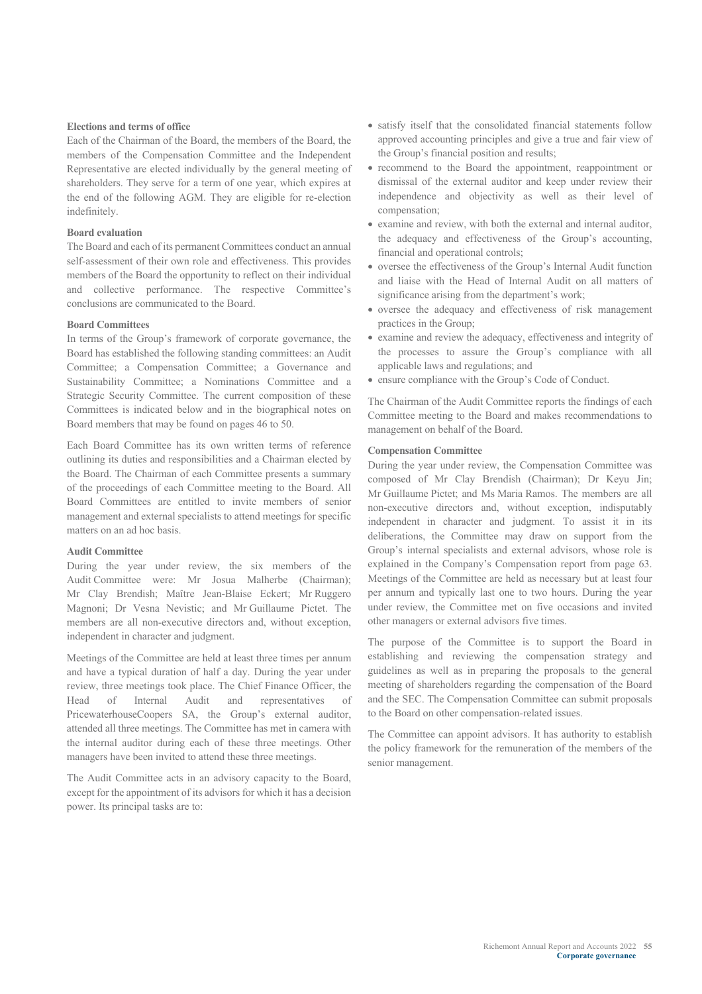#### **Elections and terms of office**

Each of the Chairman of the Board, the members of the Board, the members of the Compensation Committee and the Independent Representative are elected individually by the general meeting of shareholders. They serve for a term of one year, which expires at the end of the following AGM. They are eligible for re-election indefinitely.

#### **Board evaluation**

The Board and each of its permanent Committees conduct an annual self-assessment of their own role and effectiveness. This provides members of the Board the opportunity to reflect on their individual and collective performance. The respective Committee's conclusions are communicated to the Board.

#### **Board Committees**

In terms of the Group's framework of corporate governance, the Board has established the following standing committees: an Audit Committee; a Compensation Committee; a Governance and Sustainability Committee; a Nominations Committee and a Strategic Security Committee. The current composition of these Committees is indicated below and in the biographical notes on Board members that may be found on pages 46 to 50.

Each Board Committee has its own written terms of reference outlining its duties and responsibilities and a Chairman elected by the Board. The Chairman of each Committee presents a summary of the proceedings of each Committee meeting to the Board. All Board Committees are entitled to invite members of senior management and external specialists to attend meetings for specific matters on an ad hoc basis.

#### **Audit Committee**

During the year under review, the six members of the Audit Committee were: Mr Josua Malherbe (Chairman); Mr Clay Brendish; Maître Jean-Blaise Eckert; Mr Ruggero Magnoni; Dr Vesna Nevistic; and Mr Guillaume Pictet. The members are all non-executive directors and, without exception, independent in character and judgment.

Meetings of the Committee are held at least three times per annum and have a typical duration of half a day. During the year under review, three meetings took place. The Chief Finance Officer, the Head of Internal Audit and representatives of PricewaterhouseCoopers SA, the Group's external auditor, attended all three meetings. The Committee has met in camera with the internal auditor during each of these three meetings. Other managers have been invited to attend these three meetings.

The Audit Committee acts in an advisory capacity to the Board, except for the appointment of its advisors for which it has a decision power. Its principal tasks are to:

- satisfy itself that the consolidated financial statements follow approved accounting principles and give a true and fair view of the Group's financial position and results;
- recommend to the Board the appointment, reappointment or dismissal of the external auditor and keep under review their independence and objectivity as well as their level of compensation;
- examine and review, with both the external and internal auditor, the adequacy and effectiveness of the Group's accounting, financial and operational controls;
- oversee the effectiveness of the Group's Internal Audit function and liaise with the Head of Internal Audit on all matters of significance arising from the department's work;
- oversee the adequacy and effectiveness of risk management practices in the Group;
- examine and review the adequacy, effectiveness and integrity of the processes to assure the Group's compliance with all applicable laws and regulations; and
- ensure compliance with the Group's Code of Conduct.

The Chairman of the Audit Committee reports the findings of each Committee meeting to the Board and makes recommendations to management on behalf of the Board.

#### **Compensation Committee**

During the year under review, the Compensation Committee was composed of Mr Clay Brendish (Chairman); Dr Keyu Jin; Mr Guillaume Pictet; and Ms Maria Ramos. The members are all non-executive directors and, without exception, indisputably independent in character and judgment. To assist it in its deliberations, the Committee may draw on support from the Group's internal specialists and external advisors, whose role is explained in the Company's Compensation report from page 63. Meetings of the Committee are held as necessary but at least four per annum and typically last one to two hours. During the year under review, the Committee met on five occasions and invited other managers or external advisors five times.

The purpose of the Committee is to support the Board in establishing and reviewing the compensation strategy and guidelines as well as in preparing the proposals to the general meeting of shareholders regarding the compensation of the Board and the SEC. The Compensation Committee can submit proposals to the Board on other compensation-related issues.

The Committee can appoint advisors. It has authority to establish the policy framework for the remuneration of the members of the senior management.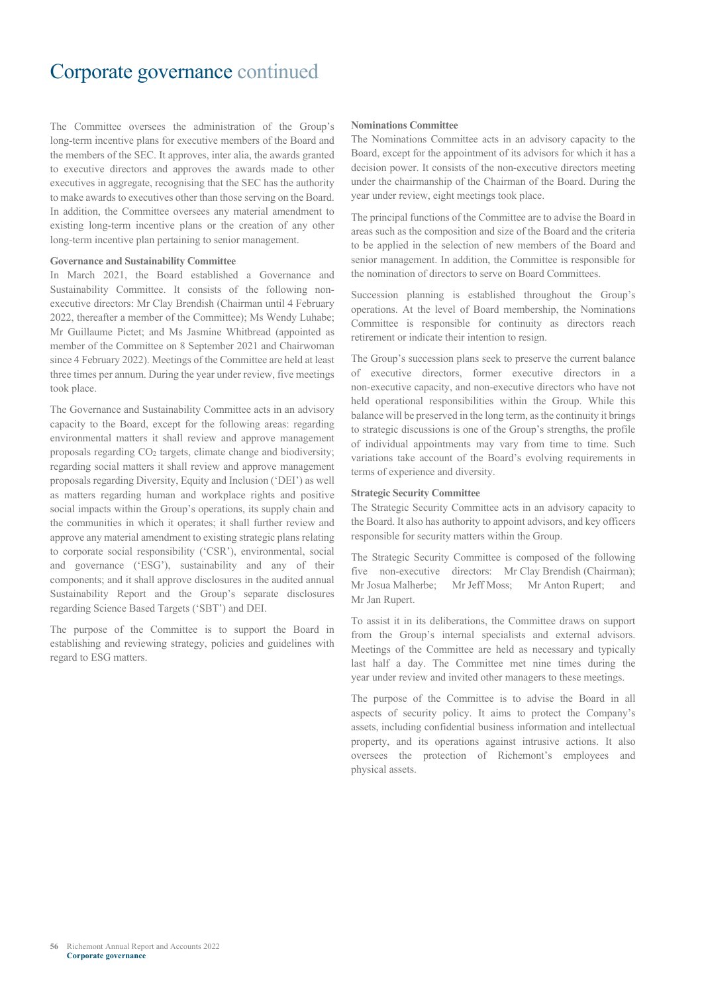The Committee oversees the administration of the Group's long-term incentive plans for executive members of the Board and the members of the SEC. It approves, inter alia, the awards granted to executive directors and approves the awards made to other executives in aggregate, recognising that the SEC has the authority to make awards to executives other than those serving on the Board. In addition, the Committee oversees any material amendment to existing long-term incentive plans or the creation of any other long-term incentive plan pertaining to senior management.

#### **Governance and Sustainability Committee**

In March 2021, the Board established a Governance and Sustainability Committee. It consists of the following nonexecutive directors: Mr Clay Brendish (Chairman until 4 February 2022, thereafter a member of the Committee); Ms Wendy Luhabe; Mr Guillaume Pictet; and Ms Jasmine Whitbread (appointed as member of the Committee on 8 September 2021 and Chairwoman since 4 February 2022). Meetings of the Committee are held at least three times per annum. During the year under review, five meetings took place.

The Governance and Sustainability Committee acts in an advisory capacity to the Board, except for the following areas: regarding environmental matters it shall review and approve management proposals regarding CO2 targets, climate change and biodiversity; regarding social matters it shall review and approve management proposals regarding Diversity, Equity and Inclusion ('DEI') as well as matters regarding human and workplace rights and positive social impacts within the Group's operations, its supply chain and the communities in which it operates; it shall further review and approve any material amendment to existing strategic plans relating to corporate social responsibility ('CSR'), environmental, social and governance ('ESG'), sustainability and any of their components; and it shall approve disclosures in the audited annual Sustainability Report and the Group's separate disclosures regarding Science Based Targets ('SBT') and DEI.

The purpose of the Committee is to support the Board in establishing and reviewing strategy, policies and guidelines with regard to ESG matters.

#### **Nominations Committee**

The Nominations Committee acts in an advisory capacity to the Board, except for the appointment of its advisors for which it has a decision power. It consists of the non-executive directors meeting under the chairmanship of the Chairman of the Board. During the year under review, eight meetings took place.

The principal functions of the Committee are to advise the Board in areas such as the composition and size of the Board and the criteria to be applied in the selection of new members of the Board and senior management. In addition, the Committee is responsible for the nomination of directors to serve on Board Committees.

Succession planning is established throughout the Group's operations. At the level of Board membership, the Nominations Committee is responsible for continuity as directors reach retirement or indicate their intention to resign.

The Group's succession plans seek to preserve the current balance of executive directors, former executive directors in a non-executive capacity, and non-executive directors who have not held operational responsibilities within the Group. While this balance will be preserved in the long term, as the continuity it brings to strategic discussions is one of the Group's strengths, the profile of individual appointments may vary from time to time. Such variations take account of the Board's evolving requirements in terms of experience and diversity.

#### **Strategic Security Committee**

The Strategic Security Committee acts in an advisory capacity to the Board. It also has authority to appoint advisors, and key officers responsible for security matters within the Group.

The Strategic Security Committee is composed of the following five non-executive directors: Mr Clay Brendish (Chairman); Mr Josua Malherbe; Mr Jeff Moss; Mr Anton Rupert; and Mr Jan Rupert.

To assist it in its deliberations, the Committee draws on support from the Group's internal specialists and external advisors. Meetings of the Committee are held as necessary and typically last half a day. The Committee met nine times during the year under review and invited other managers to these meetings.

The purpose of the Committee is to advise the Board in all aspects of security policy. It aims to protect the Company's assets, including confidential business information and intellectual property, and its operations against intrusive actions. It also oversees the protection of Richemont's employees and physical assets.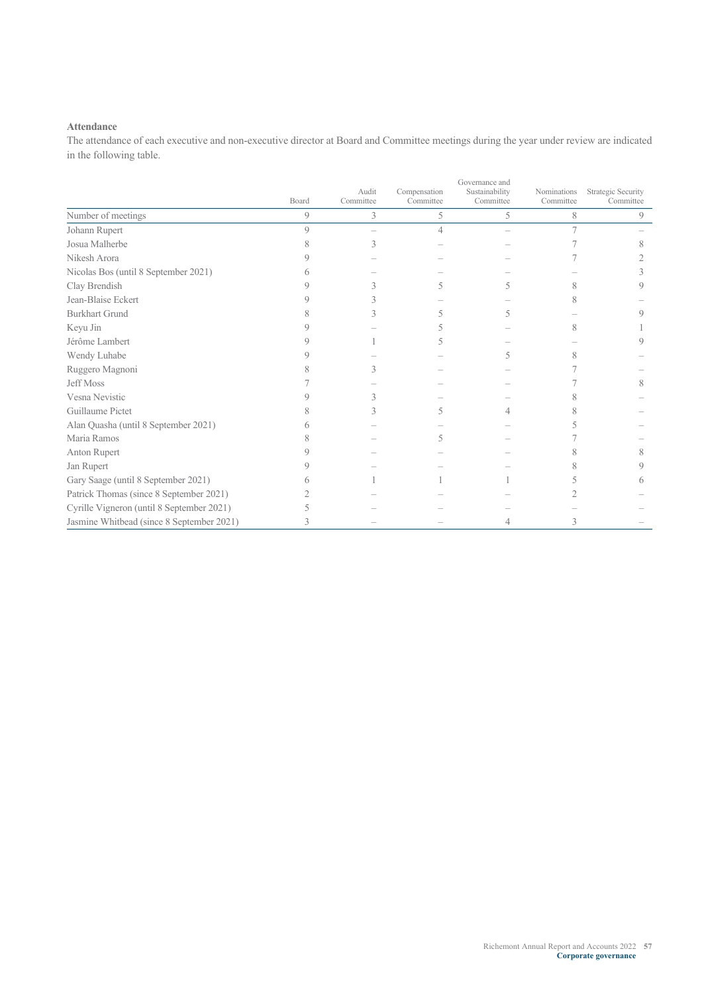#### **Attendance**

The attendance of each executive and non-executive director at Board and Committee meetings during the year under review are indicated in the following table.

|                                           |               | Governance and<br>Audit<br>Sustainability<br>Compensation<br>Nominations |                |           |           |                                 |  |  |
|-------------------------------------------|---------------|--------------------------------------------------------------------------|----------------|-----------|-----------|---------------------------------|--|--|
|                                           | Board         | Committee                                                                | Committee      | Committee | Committee | Strategic Security<br>Committee |  |  |
| Number of meetings                        | 9             | 3                                                                        | 5              | 5         | 8         | 9                               |  |  |
| Johann Rupert                             | $\mathcal{Q}$ |                                                                          | $\overline{4}$ |           |           |                                 |  |  |
| Josua Malherbe                            |               | 3                                                                        |                |           |           |                                 |  |  |
| Nikesh Arora                              |               |                                                                          |                |           |           |                                 |  |  |
| Nicolas Bos (until 8 September 2021)      |               |                                                                          |                |           |           |                                 |  |  |
| Clay Brendish                             |               |                                                                          |                |           |           |                                 |  |  |
| Jean-Blaise Eckert                        |               |                                                                          |                |           |           |                                 |  |  |
| <b>Burkhart Grund</b>                     |               |                                                                          |                |           |           |                                 |  |  |
| Keyu Jin                                  |               |                                                                          |                |           | 8         |                                 |  |  |
| Jérôme Lambert                            |               |                                                                          |                |           |           |                                 |  |  |
| Wendy Luhabe                              |               |                                                                          |                |           |           |                                 |  |  |
| Ruggero Magnoni                           |               |                                                                          |                |           |           |                                 |  |  |
| <b>Jeff Moss</b>                          |               |                                                                          |                |           |           |                                 |  |  |
| Vesna Nevistic                            |               |                                                                          |                |           |           |                                 |  |  |
| Guillaume Pictet                          |               |                                                                          |                |           |           |                                 |  |  |
| Alan Quasha (until 8 September 2021)      |               |                                                                          |                |           |           |                                 |  |  |
| Maria Ramos                               |               |                                                                          |                |           |           |                                 |  |  |
| Anton Rupert                              |               |                                                                          |                |           |           | x                               |  |  |
| Jan Rupert                                |               |                                                                          |                |           |           |                                 |  |  |
| Gary Saage (until 8 September 2021)       |               |                                                                          |                |           |           |                                 |  |  |
| Patrick Thomas (since 8 September 2021)   |               |                                                                          |                |           |           |                                 |  |  |
| Cyrille Vigneron (until 8 September 2021) |               |                                                                          |                |           |           |                                 |  |  |
| Jasmine Whitbead (since 8 September 2021) |               |                                                                          |                |           |           |                                 |  |  |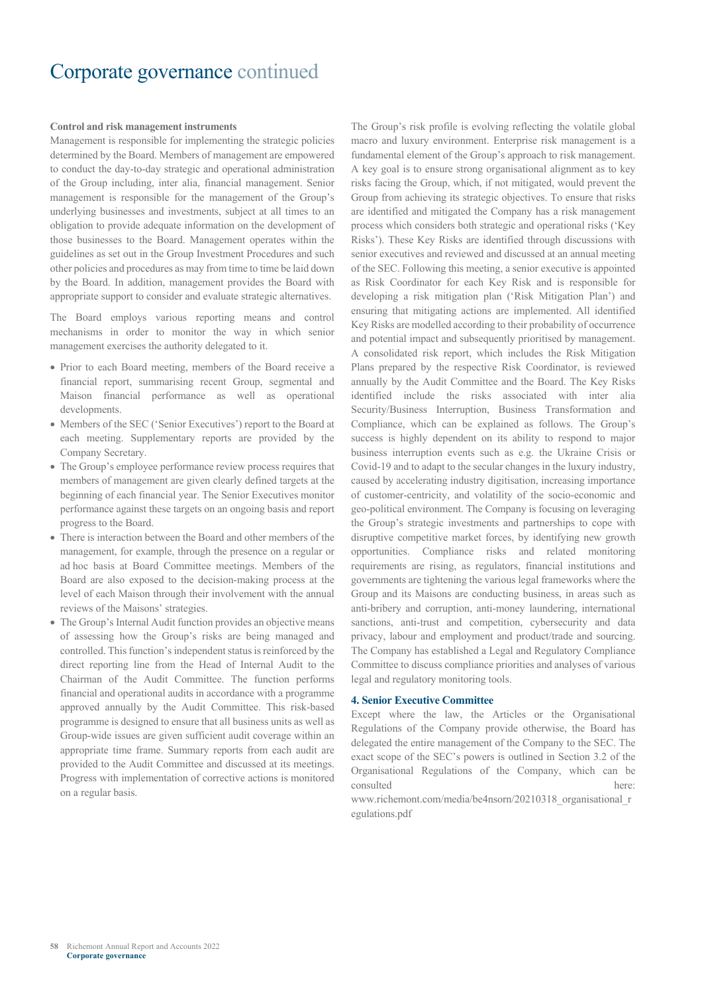#### **Control and risk management instruments**

Management is responsible for implementing the strategic policies determined by the Board. Members of management are empowered to conduct the day-to-day strategic and operational administration of the Group including, inter alia, financial management. Senior management is responsible for the management of the Group's underlying businesses and investments, subject at all times to an obligation to provide adequate information on the development of those businesses to the Board. Management operates within the guidelines as set out in the Group Investment Procedures and such other policies and procedures as may from time to time be laid down by the Board. In addition, management provides the Board with appropriate support to consider and evaluate strategic alternatives.

The Board employs various reporting means and control mechanisms in order to monitor the way in which senior management exercises the authority delegated to it.

- Prior to each Board meeting, members of the Board receive a financial report, summarising recent Group, segmental and Maison financial performance as well as operational developments.
- Members of the SEC ('Senior Executives') report to the Board at each meeting. Supplementary reports are provided by the Company Secretary.
- The Group's employee performance review process requires that members of management are given clearly defined targets at the beginning of each financial year. The Senior Executives monitor performance against these targets on an ongoing basis and report progress to the Board.
- There is interaction between the Board and other members of the management, for example, through the presence on a regular or ad hoc basis at Board Committee meetings. Members of the Board are also exposed to the decision-making process at the level of each Maison through their involvement with the annual reviews of the Maisons' strategies.
- The Group's Internal Audit function provides an objective means of assessing how the Group's risks are being managed and controlled. This function's independent status is reinforced by the direct reporting line from the Head of Internal Audit to the Chairman of the Audit Committee. The function performs financial and operational audits in accordance with a programme approved annually by the Audit Committee. This risk-based programme is designed to ensure that all business units as well as Group-wide issues are given sufficient audit coverage within an appropriate time frame. Summary reports from each audit are provided to the Audit Committee and discussed at its meetings. Progress with implementation of corrective actions is monitored on a regular basis.

The Group's risk profile is evolving reflecting the volatile global macro and luxury environment. Enterprise risk management is a fundamental element of the Group's approach to risk management. A key goal is to ensure strong organisational alignment as to key risks facing the Group, which, if not mitigated, would prevent the Group from achieving its strategic objectives. To ensure that risks are identified and mitigated the Company has a risk management process which considers both strategic and operational risks ('Key Risks'). These Key Risks are identified through discussions with senior executives and reviewed and discussed at an annual meeting of the SEC. Following this meeting, a senior executive is appointed as Risk Coordinator for each Key Risk and is responsible for developing a risk mitigation plan ('Risk Mitigation Plan') and ensuring that mitigating actions are implemented. All identified Key Risks are modelled according to their probability of occurrence and potential impact and subsequently prioritised by management. A consolidated risk report, which includes the Risk Mitigation Plans prepared by the respective Risk Coordinator, is reviewed annually by the Audit Committee and the Board. The Key Risks identified include the risks associated with inter alia Security/Business Interruption, Business Transformation and Compliance, which can be explained as follows. The Group's success is highly dependent on its ability to respond to major business interruption events such as e.g. the Ukraine Crisis or Covid-19 and to adapt to the secular changes in the luxury industry, caused by accelerating industry digitisation, increasing importance of customer-centricity, and volatility of the socio-economic and geo-political environment. The Company is focusing on leveraging the Group's strategic investments and partnerships to cope with disruptive competitive market forces, by identifying new growth opportunities. Compliance risks and related monitoring requirements are rising, as regulators, financial institutions and governments are tightening the various legal frameworks where the Group and its Maisons are conducting business, in areas such as anti-bribery and corruption, anti-money laundering, international sanctions, anti-trust and competition, cybersecurity and data privacy, labour and employment and product/trade and sourcing. The Company has established a Legal and Regulatory Compliance Committee to discuss compliance priorities and analyses of various legal and regulatory monitoring tools.

#### **4. Senior Executive Committee**

Except where the law, the Articles or the Organisational Regulations of the Company provide otherwise, the Board has delegated the entire management of the Company to the SEC. The exact scope of the SEC's powers is outlined in Section 3.2 of the Organisational Regulations of the Company, which can be consulted

www.richemont.com/media/be4nsorn/20210318\_organisational\_r egulations.pdf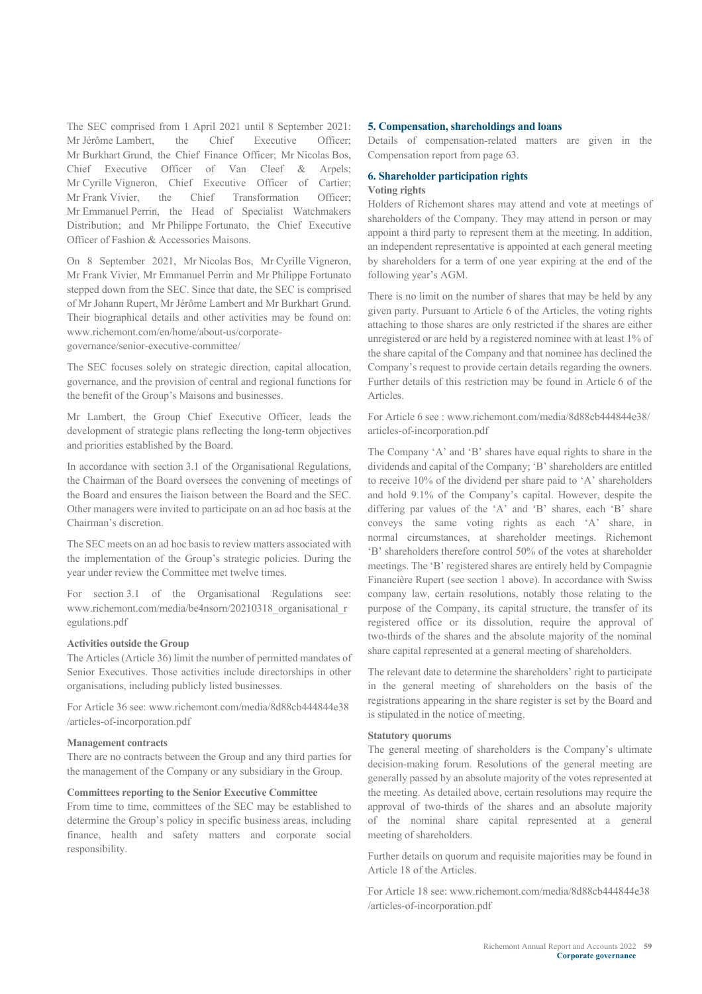The SEC comprised from 1 April 2021 until 8 September 2021: Mr Jérôme Lambert, the Chief Executive Officer; Mr Burkhart Grund, the Chief Finance Officer; Mr Nicolas Bos, Chief Executive Officer of Van Cleef & Arpels; Mr Cyrille Vigneron, Chief Executive Officer of Cartier; Mr Frank Vivier, the Chief Transformation Officer; Mr Emmanuel Perrin, the Head of Specialist Watchmakers Distribution; and Mr Philippe Fortunato, the Chief Executive Officer of Fashion & Accessories Maisons.

On 8 September 2021, Mr Nicolas Bos, Mr Cyrille Vigneron, Mr Frank Vivier, Mr Emmanuel Perrin and Mr Philippe Fortunato stepped down from the SEC. Since that date, the SEC is comprised of Mr Johann Rupert, Mr Jérôme Lambert and Mr Burkhart Grund. Their biographical details and other activities may be found on: www.richemont.com/en/home/about-us/corporategovernance/senior-executive-committee/

The SEC focuses solely on strategic direction, capital allocation, governance, and the provision of central and regional functions for the benefit of the Group's Maisons and businesses.

Mr Lambert, the Group Chief Executive Officer, leads the development of strategic plans reflecting the long-term objectives and priorities established by the Board.

In accordance with section 3.1 of the Organisational Regulations, the Chairman of the Board oversees the convening of meetings of the Board and ensures the liaison between the Board and the SEC. Other managers were invited to participate on an ad hoc basis at the Chairman's discretion.

The SEC meets on an ad hoc basis to review matters associated with the implementation of the Group's strategic policies. During the year under review the Committee met twelve times.

For section 3.1 of the Organisational Regulations see: www.richemont.com/media/be4nsorn/20210318\_organisational\_r egulations.pdf

#### **Activities outside the Group**

The Articles (Article 36) limit the number of permitted mandates of Senior Executives. Those activities include directorships in other organisations, including publicly listed businesses.

For Article 36 see: www.richemont.com/media/8d88cb444844e38 /articles-of-incorporation.pdf

#### **Management contracts**

There are no contracts between the Group and any third parties for the management of the Company or any subsidiary in the Group.

#### **Committees reporting to the Senior Executive Committee**

From time to time, committees of the SEC may be established to determine the Group's policy in specific business areas, including finance, health and safety matters and corporate social responsibility.

#### **5. Compensation, shareholdings and loans**

Details of compensation-related matters are given in the Compensation report from page 63.

#### **6. Shareholder participation rights Voting rights**

Holders of Richemont shares may attend and vote at meetings of shareholders of the Company. They may attend in person or may appoint a third party to represent them at the meeting. In addition, an independent representative is appointed at each general meeting by shareholders for a term of one year expiring at the end of the following year's AGM.

There is no limit on the number of shares that may be held by any given party. Pursuant to Article 6 of the Articles, the voting rights attaching to those shares are only restricted if the shares are either unregistered or are held by a registered nominee with at least 1% of the share capital of the Company and that nominee has declined the Company's request to provide certain details regarding the owners. Further details of this restriction may be found in Article 6 of the Articles.

For Article 6 see : www.richemont.com/media/8d88cb444844e38/ articles-of-incorporation.pdf

The Company 'A' and 'B' shares have equal rights to share in the dividends and capital of the Company; 'B' shareholders are entitled to receive 10% of the dividend per share paid to 'A' shareholders and hold 9.1% of the Company's capital. However, despite the differing par values of the 'A' and 'B' shares, each 'B' share conveys the same voting rights as each 'A' share, in normal circumstances, at shareholder meetings. Richemont 'B' shareholders therefore control 50% of the votes at shareholder meetings. The 'B' registered shares are entirely held by Compagnie Financière Rupert (see section 1 above). In accordance with Swiss company law, certain resolutions, notably those relating to the purpose of the Company, its capital structure, the transfer of its registered office or its dissolution, require the approval of two-thirds of the shares and the absolute majority of the nominal share capital represented at a general meeting of shareholders.

The relevant date to determine the shareholders' right to participate in the general meeting of shareholders on the basis of the registrations appearing in the share register is set by the Board and is stipulated in the notice of meeting.

#### **Statutory quorums**

The general meeting of shareholders is the Company's ultimate decision-making forum. Resolutions of the general meeting are generally passed by an absolute majority of the votes represented at the meeting. As detailed above, certain resolutions may require the approval of two-thirds of the shares and an absolute majority of the nominal share capital represented at a general meeting of shareholders.

Further details on quorum and requisite majorities may be found in Article 18 of the Articles.

For Article 18 see: www.richemont.com/media/8d88cb444844e38 /articles-of-incorporation.pdf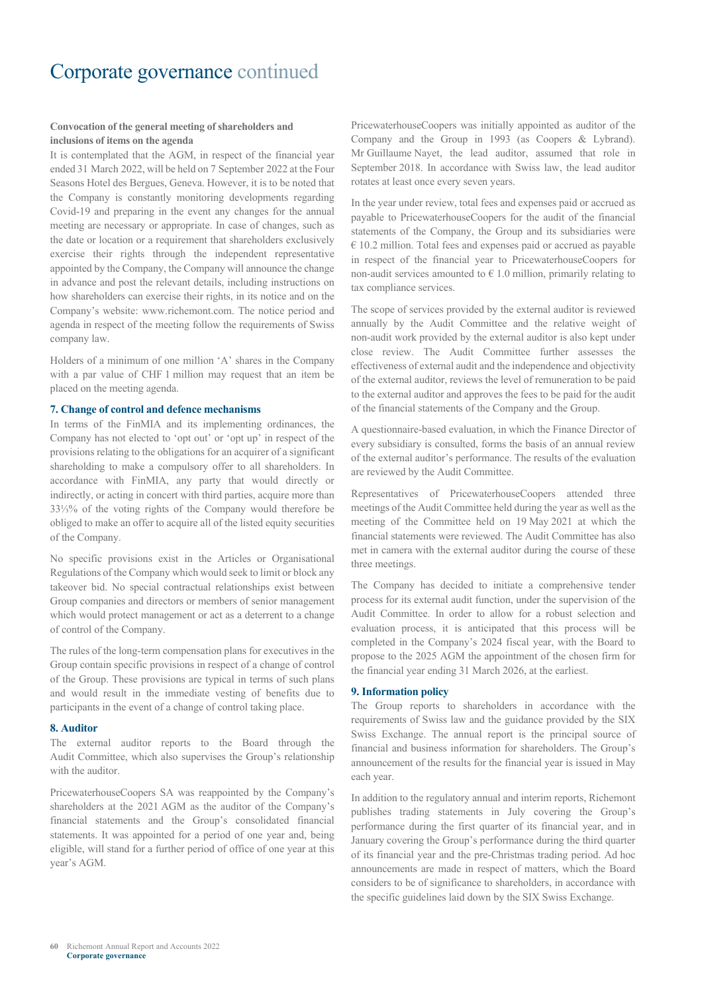#### **Convocation of the general meeting of shareholders and inclusions of items on the agenda**

It is contemplated that the AGM, in respect of the financial year ended 31 March 2022, will be held on 7 September 2022 at the Four Seasons Hotel des Bergues, Geneva. However, it is to be noted that the Company is constantly monitoring developments regarding Covid-19 and preparing in the event any changes for the annual meeting are necessary or appropriate. In case of changes, such as the date or location or a requirement that shareholders exclusively exercise their rights through the independent representative appointed by the Company, the Company will announce the change in advance and post the relevant details, including instructions on how shareholders can exercise their rights, in its notice and on the Company's website: www.richemont.com. The notice period and agenda in respect of the meeting follow the requirements of Swiss company law.

Holders of a minimum of one million 'A' shares in the Company with a par value of CHF 1 million may request that an item be placed on the meeting agenda.

#### **7. Change of control and defence mechanisms**

In terms of the FinMIA and its implementing ordinances, the Company has not elected to 'opt out' or 'opt up' in respect of the provisions relating to the obligations for an acquirer of a significant shareholding to make a compulsory offer to all shareholders. In accordance with FinMIA, any party that would directly or indirectly, or acting in concert with third parties, acquire more than 33⅓% of the voting rights of the Company would therefore be obliged to make an offer to acquire all of the listed equity securities of the Company.

No specific provisions exist in the Articles or Organisational Regulations of the Company which would seek to limit or block any takeover bid. No special contractual relationships exist between Group companies and directors or members of senior management which would protect management or act as a deterrent to a change of control of the Company.

The rules of the long-term compensation plans for executives in the Group contain specific provisions in respect of a change of control of the Group. These provisions are typical in terms of such plans and would result in the immediate vesting of benefits due to participants in the event of a change of control taking place.

#### **8. Auditor**

The external auditor reports to the Board through the Audit Committee, which also supervises the Group's relationship with the auditor.

PricewaterhouseCoopers SA was reappointed by the Company's shareholders at the 2021 AGM as the auditor of the Company's financial statements and the Group's consolidated financial statements. It was appointed for a period of one year and, being eligible, will stand for a further period of office of one year at this year's AGM.

PricewaterhouseCoopers was initially appointed as auditor of the Company and the Group in 1993 (as Coopers & Lybrand). Mr Guillaume Nayet, the lead auditor, assumed that role in September 2018. In accordance with Swiss law, the lead auditor rotates at least once every seven years.

In the year under review, total fees and expenses paid or accrued as payable to PricewaterhouseCoopers for the audit of the financial statements of the Company, the Group and its subsidiaries were  $\epsilon$  10.2 million. Total fees and expenses paid or accrued as payable in respect of the financial year to PricewaterhouseCoopers for non-audit services amounted to  $\epsilon$  1.0 million, primarily relating to tax compliance services.

The scope of services provided by the external auditor is reviewed annually by the Audit Committee and the relative weight of non-audit work provided by the external auditor is also kept under close review. The Audit Committee further assesses the effectiveness of external audit and the independence and objectivity of the external auditor, reviews the level of remuneration to be paid to the external auditor and approves the fees to be paid for the audit of the financial statements of the Company and the Group.

A questionnaire-based evaluation, in which the Finance Director of every subsidiary is consulted, forms the basis of an annual review of the external auditor's performance. The results of the evaluation are reviewed by the Audit Committee.

Representatives of PricewaterhouseCoopers attended three meetings of the Audit Committee held during the year as well as the meeting of the Committee held on 19 May 2021 at which the financial statements were reviewed. The Audit Committee has also met in camera with the external auditor during the course of these three meetings.

The Company has decided to initiate a comprehensive tender process for its external audit function, under the supervision of the Audit Committee. In order to allow for a robust selection and evaluation process, it is anticipated that this process will be completed in the Company's 2024 fiscal year, with the Board to propose to the 2025 AGM the appointment of the chosen firm for the financial year ending 31 March 2026, at the earliest.

#### **9. Information policy**

The Group reports to shareholders in accordance with the requirements of Swiss law and the guidance provided by the SIX Swiss Exchange. The annual report is the principal source of financial and business information for shareholders. The Group's announcement of the results for the financial year is issued in May each year.

In addition to the regulatory annual and interim reports, Richemont publishes trading statements in July covering the Group's performance during the first quarter of its financial year, and in January covering the Group's performance during the third quarter of its financial year and the pre-Christmas trading period. Ad hoc announcements are made in respect of matters, which the Board considers to be of significance to shareholders, in accordance with the specific guidelines laid down by the SIX Swiss Exchange.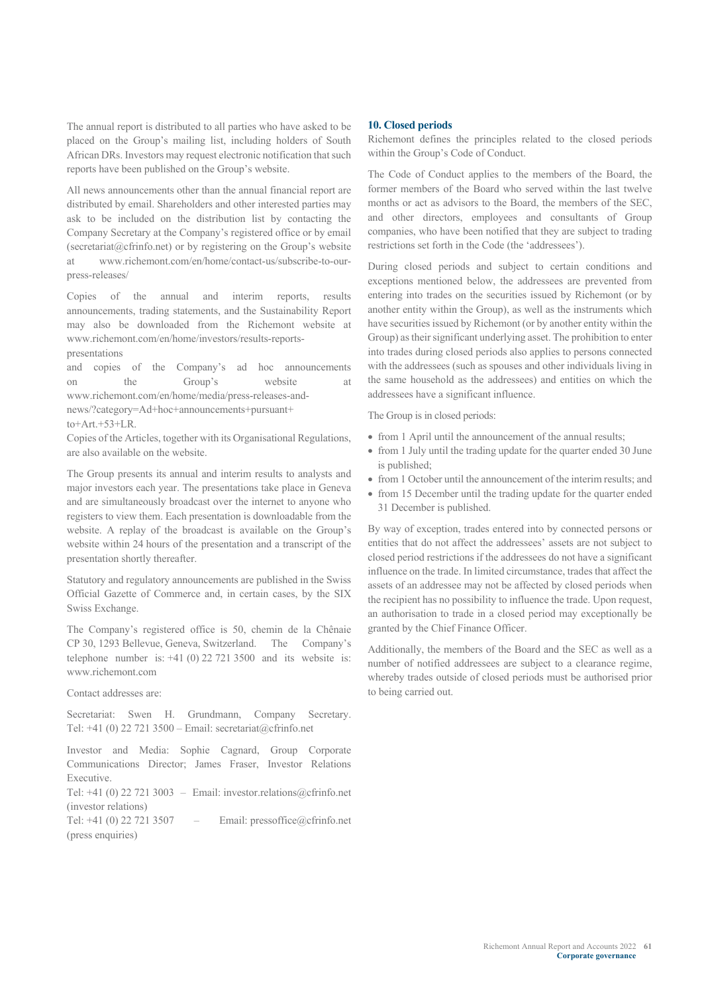The annual report is distributed to all parties who have asked to be placed on the Group's mailing list, including holders of South African DRs. Investors may request electronic notification that such reports have been published on the Group's website.

All news announcements other than the annual financial report are distributed by email. Shareholders and other interested parties may ask to be included on the distribution list by contacting the Company Secretary at the Company's registered office or by email (secretariat@cfrinfo.net) or by registering on the Group's website at www.richemont.com/en/home/contact-us/subscribe-to-ourpress-releases/

Copies of the annual and interim reports, results announcements, trading statements, and the Sustainability Report may also be downloaded from the Richemont website at www.richemont.com/en/home/investors/results-reportspresentations

and copies of the Company's ad hoc announcements on the Group's website at www.richemont.com/en/home/media/press-releases-andnews/?category=Ad+hoc+announcements+pursuant+ to+Art.+53+LR.

Copies of the Articles, together with its Organisational Regulations, are also available on the website.

The Group presents its annual and interim results to analysts and major investors each year. The presentations take place in Geneva and are simultaneously broadcast over the internet to anyone who registers to view them. Each presentation is downloadable from the website. A replay of the broadcast is available on the Group's website within 24 hours of the presentation and a transcript of the presentation shortly thereafter.

Statutory and regulatory announcements are published in the Swiss Official Gazette of Commerce and, in certain cases, by the SIX Swiss Exchange.

The Company's registered office is 50, chemin de la Chênaie CP 30, 1293 Bellevue, Geneva, Switzerland. The Company's telephone number is:  $+41$  (0) 22 721 3500 and its website is: www.richemont.com

#### Contact addresses are:

Secretariat: Swen H. Grundmann, Company Secretary. Tel: +41 (0) 22 721 3500 – Email: secretariat@cfrinfo.net

Investor and Media: Sophie Cagnard, Group Corporate Communications Director; James Fraser, Investor Relations Executive.

Tel:  $+41$  (0) 22 721 3003 – Email: investor.relations@cfrinfo.net (investor relations)

Tel:  $+41$  (0) 22 721 3507 – Email: pressoffice@cfrinfo.net (press enquiries)

#### **10. Closed periods**

Richemont defines the principles related to the closed periods within the Group's Code of Conduct.

The Code of Conduct applies to the members of the Board, the former members of the Board who served within the last twelve months or act as advisors to the Board, the members of the SEC, and other directors, employees and consultants of Group companies, who have been notified that they are subject to trading restrictions set forth in the Code (the 'addressees').

During closed periods and subject to certain conditions and exceptions mentioned below, the addressees are prevented from entering into trades on the securities issued by Richemont (or by another entity within the Group), as well as the instruments which have securities issued by Richemont (or by another entity within the Group) as their significant underlying asset. The prohibition to enter into trades during closed periods also applies to persons connected with the addressees (such as spouses and other individuals living in the same household as the addressees) and entities on which the addressees have a significant influence.

The Group is in closed periods:

- from 1 April until the announcement of the annual results:
- from 1 July until the trading update for the quarter ended 30 June is published;
- from 1 October until the announcement of the interim results; and
- from 15 December until the trading update for the quarter ended 31 December is published.

By way of exception, trades entered into by connected persons or entities that do not affect the addressees' assets are not subject to closed period restrictions if the addressees do not have a significant influence on the trade. In limited circumstance, trades that affect the assets of an addressee may not be affected by closed periods when the recipient has no possibility to influence the trade. Upon request, an authorisation to trade in a closed period may exceptionally be granted by the Chief Finance Officer.

Additionally, the members of the Board and the SEC as well as a number of notified addressees are subject to a clearance regime, whereby trades outside of closed periods must be authorised prior to being carried out.